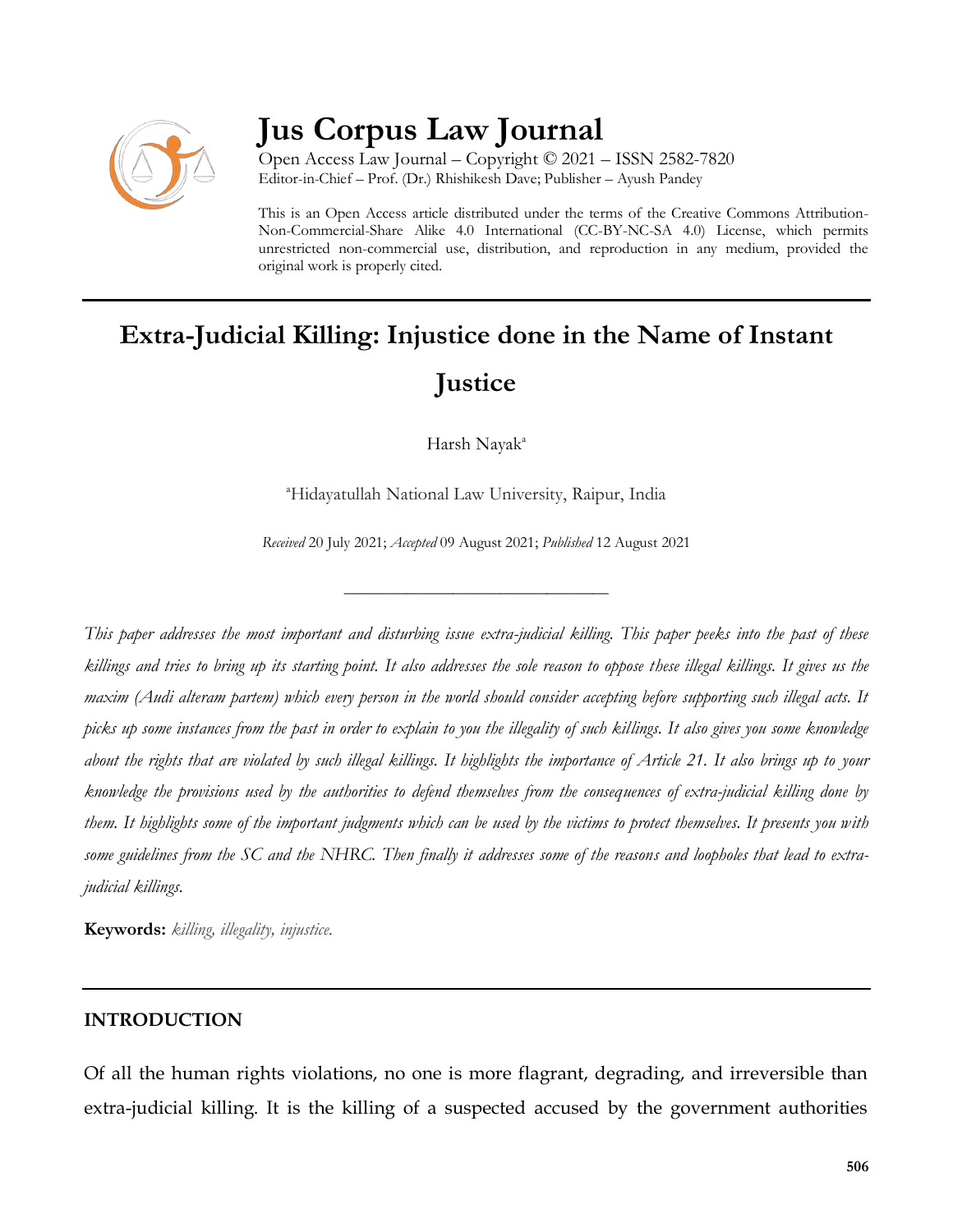

## **Jus Corpus Law Journal**

Open Access Law Journal – Copyright © 2021 – ISSN 2582-7820 Editor-in-Chief – Prof. (Dr.) Rhishikesh Dave; Publisher – Ayush Pandey

This is an Open Access article distributed under the terms of the Creative Commons Attribution-Non-Commercial-Share Alike 4.0 International (CC-BY-NC-SA 4.0) License, which permits unrestricted non-commercial use, distribution, and reproduction in any medium, provided the original work is properly cited.

# **Extra-Judicial Killing: Injustice done in the Name of Instant Justice**

Harsh Nayak<sup>a</sup>

<sup>a</sup>Hidayatullah National Law University, Raipur, India

*Received* 20 July 2021; *Accepted* 09 August 2021; *Published* 12 August 2021

\_\_\_\_\_\_\_\_\_\_\_\_\_\_\_\_\_\_\_\_\_\_\_\_\_\_\_\_\_\_\_\_\_\_

*This paper addresses the most important and disturbing issue extra-judicial killing. This paper peeks into the past of these killings and tries to bring up its starting point. It also addresses the sole reason to oppose these illegal killings. It gives us the maxim (Audi alteram partem) which every person in the world should consider accepting before supporting such illegal acts. It picks up some instances from the past in order to explain to you the illegality of such killings. It also gives you some knowledge about the rights that are violated by such illegal killings. It highlights the importance of Article 21. It also brings up to your knowledge the provisions used by the authorities to defend themselves from the consequences of extra-judicial killing done by them. It highlights some of the important judgments which can be used by the victims to protect themselves. It presents you with some guidelines from the SC and the NHRC. Then finally it addresses some of the reasons and loopholes that lead to extrajudicial killings.* 

**Keywords:** *killing, illegality, injustice.*

#### **INTRODUCTION**

Of all the human rights violations, no one is more flagrant, degrading, and irreversible than extra-judicial killing. It is the killing of a suspected accused by the government authorities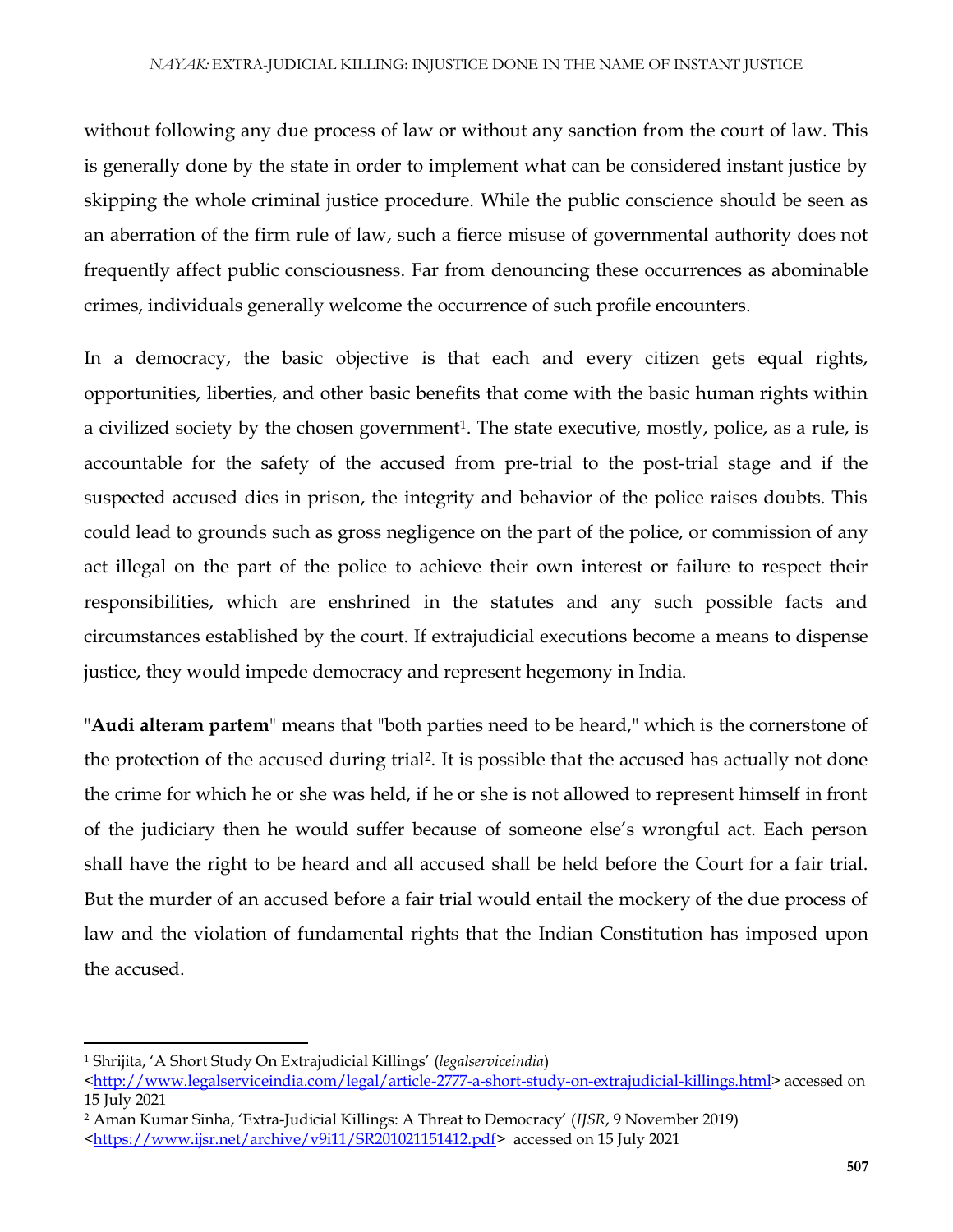without following any due process of law or without any sanction from the court of law. This is generally done by the state in order to implement what can be considered instant justice by skipping the whole criminal justice procedure. While the public conscience should be seen as an aberration of the firm rule of law, such a fierce misuse of governmental authority does not frequently affect public consciousness. Far from denouncing these occurrences as abominable crimes, individuals generally welcome the occurrence of such profile encounters.

In a democracy, the basic objective is that each and every citizen gets equal rights, opportunities, liberties, and other basic benefits that come with the basic human rights within a civilized society by the chosen government<sup>1</sup>. The state executive, mostly, police, as a rule, is accountable for the safety of the accused from pre-trial to the post-trial stage and if the suspected accused dies in prison, the integrity and behavior of the police raises doubts. This could lead to grounds such as gross negligence on the part of the police, or commission of any act illegal on the part of the police to achieve their own interest or failure to respect their responsibilities, which are enshrined in the statutes and any such possible facts and circumstances established by the court. If extrajudicial executions become a means to dispense justice, they would impede democracy and represent hegemony in India.

"**Audi alteram partem**" means that "both parties need to be heard," which is the cornerstone of the protection of the accused during trial<sup>2</sup>. It is possible that the accused has actually not done the crime for which he or she was held, if he or she is not allowed to represent himself in front of the judiciary then he would suffer because of someone else's wrongful act. Each person shall have the right to be heard and all accused shall be held before the Court for a fair trial. But the murder of an accused before a fair trial would entail the mockery of the due process of law and the violation of fundamental rights that the Indian Constitution has imposed upon the accused.

 $\overline{a}$ 

<sup>1</sup> Shrijita, 'A Short Study On Extrajudicial Killings' (*legalserviceindia*)

[<sup>&</sup>lt;http://www.legalserviceindia.com/legal/article-2777-a-short-study-on-extrajudicial-killings.html>](http://www.legalserviceindia.com/legal/article-2777-a-short-study-on-extrajudicial-killings.html) accessed on 15 July 2021

<sup>2</sup> Aman Kumar Sinha, 'Extra-Judicial Killings: A Threat to Democracy' (*IJSR*, 9 November 2019)

[<sup>&</sup>lt;https://www.ijsr.net/archive/v9i11/SR201021151412.pdf>](https://www.ijsr.net/archive/v9i11/SR201021151412.pdf) accessed on 15 July 2021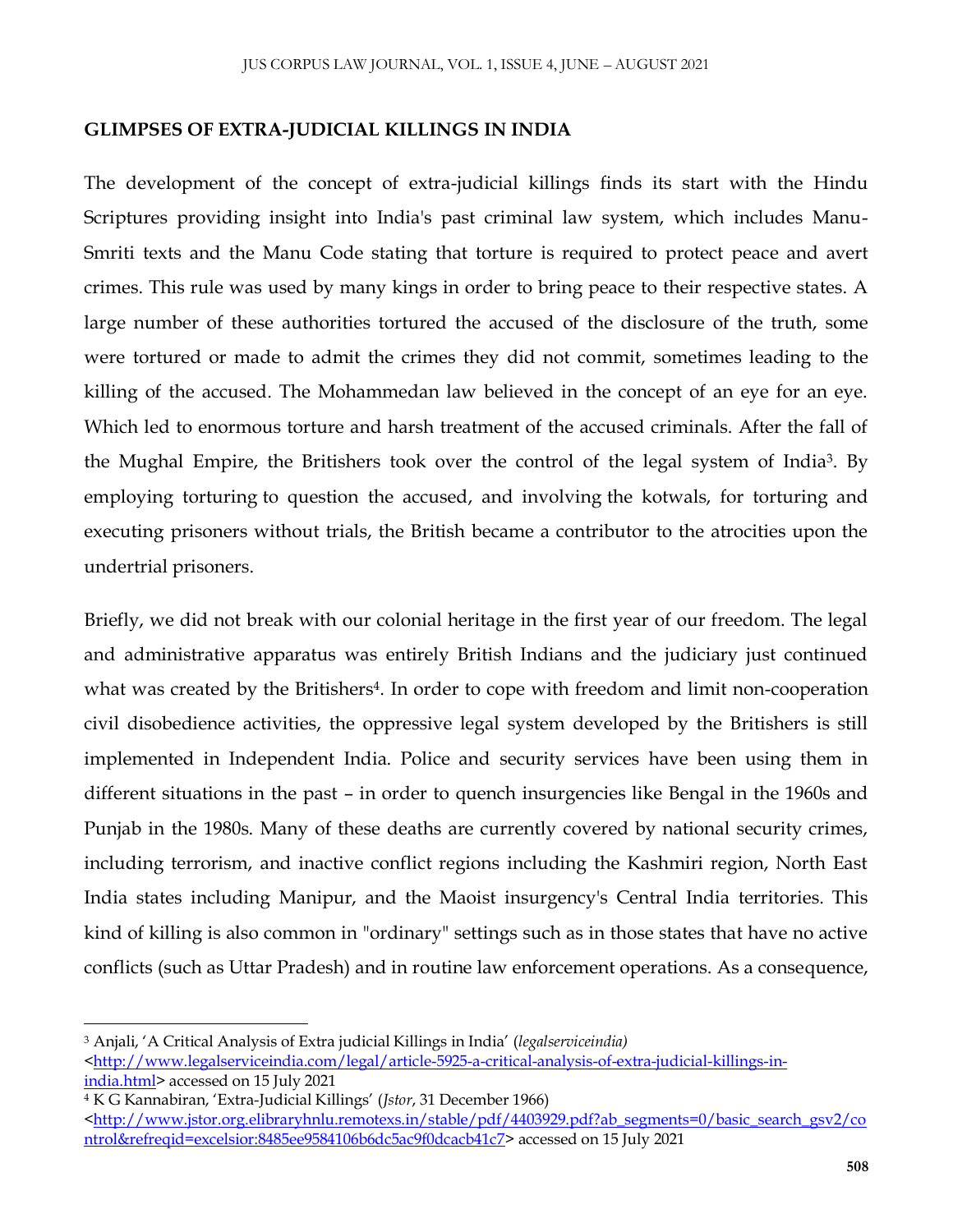#### **GLIMPSES OF EXTRA-JUDICIAL KILLINGS IN INDIA**

The development of the concept of extra-judicial killings finds its start with the Hindu Scriptures providing insight into India's past criminal law system, which includes Manu-Smriti texts and the Manu Code stating that torture is required to protect peace and avert crimes. This rule was used by many kings in order to bring peace to their respective states. A large number of these authorities tortured the accused of the disclosure of the truth, some were tortured or made to admit the crimes they did not commit, sometimes leading to the killing of the accused. The Mohammedan law believed in the concept of an eye for an eye. Which led to enormous torture and harsh treatment of the accused criminals. After the fall of the Mughal Empire, the Britishers took over the control of the legal system of India<sup>3</sup>. By employing torturing to question the accused, and involving the kotwals, for torturing and executing prisoners without trials, the British became a contributor to the atrocities upon the undertrial prisoners.

Briefly, we did not break with our colonial heritage in the first year of our freedom. The legal and administrative apparatus was entirely British Indians and the judiciary just continued what was created by the Britishers<sup>4</sup>. In order to cope with freedom and limit non-cooperation civil disobedience activities, the oppressive legal system developed by the Britishers is still implemented in Independent India. Police and security services have been using them in different situations in the past – in order to quench insurgencies like Bengal in the 1960s and Punjab in the 1980s. Many of these deaths are currently covered by national security crimes, including terrorism, and inactive conflict regions including the Kashmiri region, North East India states including Manipur, and the Maoist insurgency's Central India territories. This kind of killing is also common in "ordinary" settings such as in those states that have no active conflicts (such as Uttar Pradesh) and in routine law enforcement operations. As a consequence,

 $\overline{a}$ 

<sup>3</sup> Anjali, 'A Critical Analysis of Extra judicial Killings in India' (*legalserviceindia)* [<http://www.legalserviceindia.com/legal/article-5925-a-critical-analysis-of-extra-judicial-killings-in](http://www.legalserviceindia.com/legal/article-5925-a-critical-analysis-of-extra-judicial-killings-in-india.html)[india.html>](http://www.legalserviceindia.com/legal/article-5925-a-critical-analysis-of-extra-judicial-killings-in-india.html) accessed on 15 July 2021

<sup>4</sup> K G Kannabiran, 'Extra-Judicial Killings' (*Jstor*, 31 December 1966)

[<sup>&</sup>lt;http://www.jstor.org.elibraryhnlu.remotexs.in/stable/pdf/4403929.pdf?ab\\_segments=0/basic\\_search\\_gsv2/co](http://www.jstor.org.elibraryhnlu.remotexs.in/stable/pdf/4403929.pdf?ab_segments=0/basic_search_gsv2/control&refreqid=excelsior:8485ee9584106b6dc5ac9f0dcacb41c7)\_ [ntrol&refreqid=excelsior:8485ee9584106b6dc5ac9f0dcacb41c7>](http://www.jstor.org.elibraryhnlu.remotexs.in/stable/pdf/4403929.pdf?ab_segments=0/basic_search_gsv2/control&refreqid=excelsior:8485ee9584106b6dc5ac9f0dcacb41c7) accessed on 15 July 2021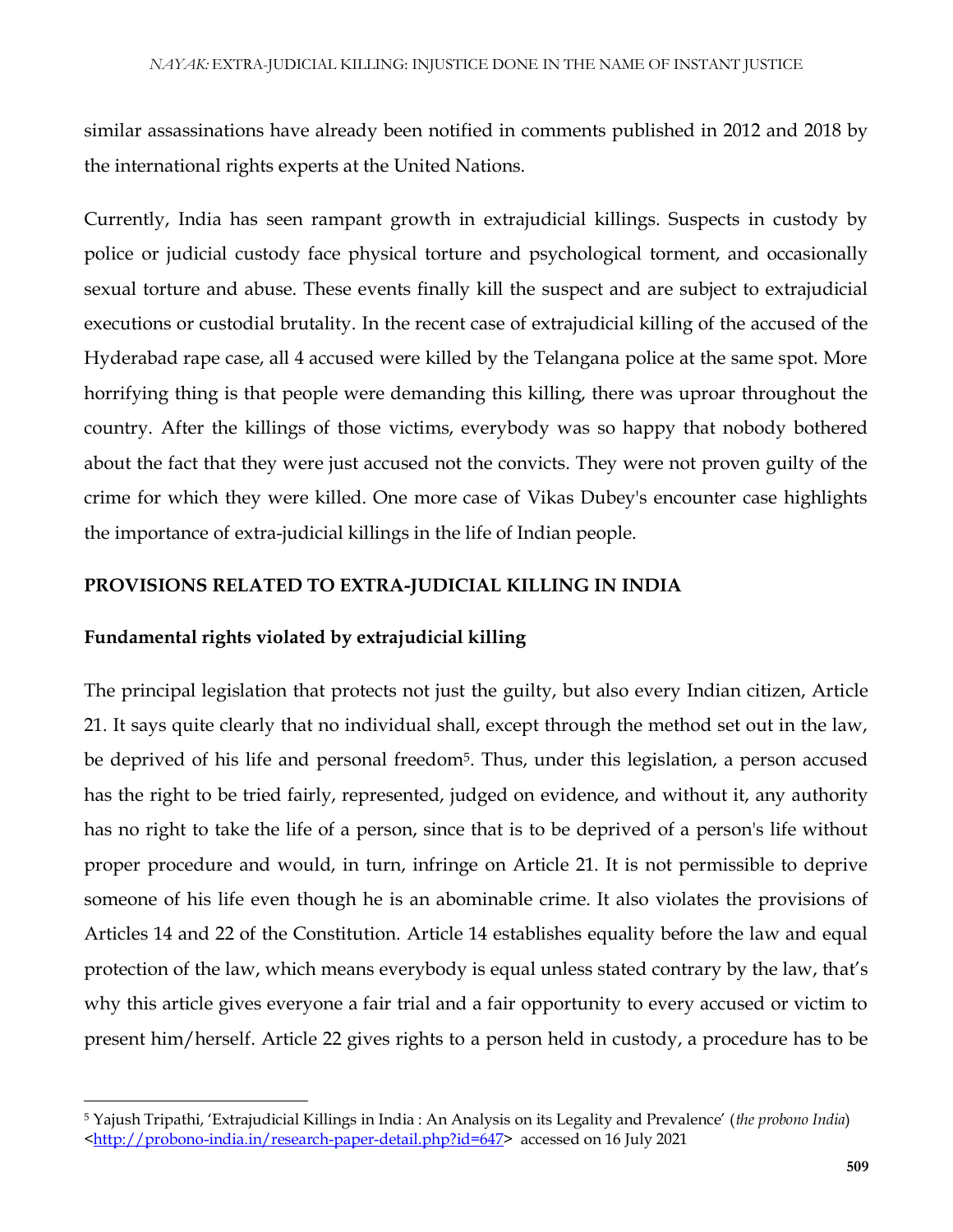similar assassinations have already been notified in comments published in 2012 and 2018 by the international rights experts at the United Nations.

Currently, India has seen rampant growth in extrajudicial killings. Suspects in custody by police or judicial custody face physical torture and psychological torment, and occasionally sexual torture and abuse. These events finally kill the suspect and are subject to extrajudicial executions or custodial brutality. In the recent case of extrajudicial killing of the accused of the Hyderabad rape case, all 4 accused were killed by the Telangana police at the same spot. More horrifying thing is that people were demanding this killing, there was uproar throughout the country. After the killings of those victims, everybody was so happy that nobody bothered about the fact that they were just accused not the convicts. They were not proven guilty of the crime for which they were killed. One more case of Vikas Dubey's encounter case highlights the importance of extra-judicial killings in the life of Indian people.

#### **PROVISIONS RELATED TO EXTRA-JUDICIAL KILLING IN INDIA**

### **Fundamental rights violated by extrajudicial killing**

 $\overline{\phantom{a}}$ 

The principal legislation that protects not just the guilty, but also every Indian citizen, Article 21. It says quite clearly that no individual shall, except through the method set out in the law, be deprived of his life and personal freedom<sup>5</sup>. Thus, under this legislation, a person accused has the right to be tried fairly, represented, judged on evidence, and without it, any authority has no right to take the life of a person, since that is to be deprived of a person's life without proper procedure and would, in turn, infringe on Article 21. It is not permissible to deprive someone of his life even though he is an abominable crime. It also violates the provisions of Articles 14 and 22 of the Constitution. Article 14 establishes equality before the law and equal protection of the law, which means everybody is equal unless stated contrary by the law, that's why this article gives everyone a fair trial and a fair opportunity to every accused or victim to present him/herself. Article 22 gives rights to a person held in custody, a procedure has to be

<sup>5</sup> Yajush Tripathi, 'Extrajudicial Killings in India : An Analysis on its Legality and Prevalence' (*the probono India*) [<http://probono-india.in/research-paper-detail.php?id=647>](http://probono-india.in/research-paper-detail.php?id=647) accessed on 16 July 2021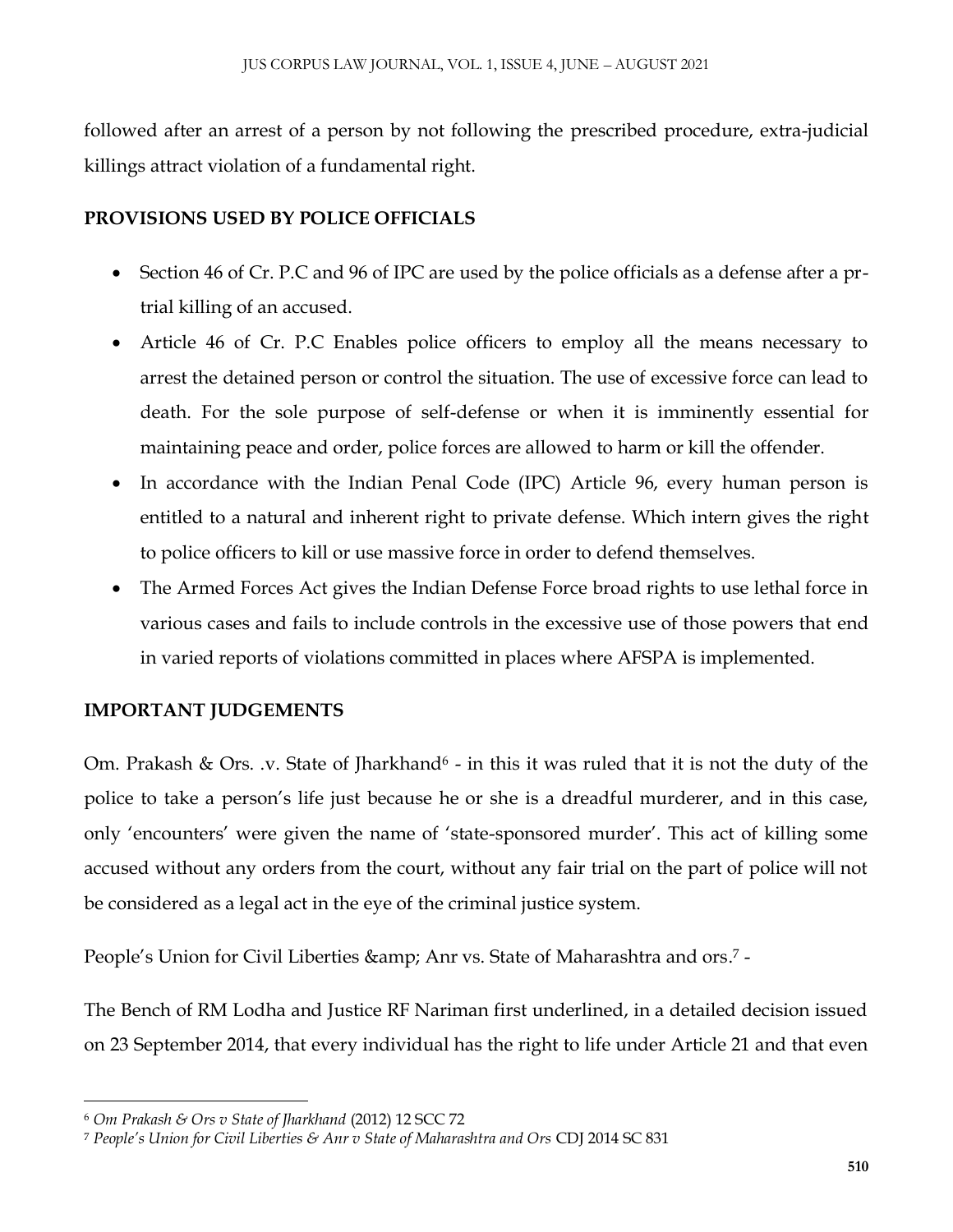followed after an arrest of a person by not following the prescribed procedure, extra-judicial killings attract violation of a fundamental right.

## **PROVISIONS USED BY POLICE OFFICIALS**

- Section 46 of Cr. P.C and 96 of IPC are used by the police officials as a defense after a prtrial killing of an accused.
- Article 46 of Cr. P.C Enables police officers to employ all the means necessary to arrest the detained person or control the situation. The use of excessive force can lead to death. For the sole purpose of self-defense or when it is imminently essential for maintaining peace and order, police forces are allowed to harm or kill the offender.
- In accordance with the Indian Penal Code (IPC) Article 96, every human person is entitled to a natural and inherent right to private defense. Which intern gives the right to police officers to kill or use massive force in order to defend themselves.
- The Armed Forces Act gives the Indian Defense Force broad rights to use lethal force in various cases and fails to include controls in the excessive use of those powers that end in varied reports of violations committed in places where AFSPA is implemented.

## **IMPORTANT JUDGEMENTS**

Om. Prakash & Ors. .v. State of Jharkhand<sup>6</sup> - in this it was ruled that it is not the duty of the police to take a person's life just because he or she is a dreadful murderer, and in this case, only 'encounters' were given the name of 'state-sponsored murder'. This act of killing some accused without any orders from the court, without any fair trial on the part of police will not be considered as a legal act in the eye of the criminal justice system.

People's Union for Civil Liberties & Anr vs. State of Maharashtra and ors.<sup>7</sup> -

The Bench of RM Lodha and Justice RF Nariman first underlined, in a detailed decision issued on 23 September 2014, that every individual has the right to life under Article 21 and that even

 $\overline{\phantom{a}}$ 

<sup>6</sup> *Om Prakash & Ors v State of Jharkhand* (2012) 12 SCC 72

<sup>7</sup> *People's Union for Civil Liberties & Anr v State of Maharashtra and Ors* CDJ 2014 SC 831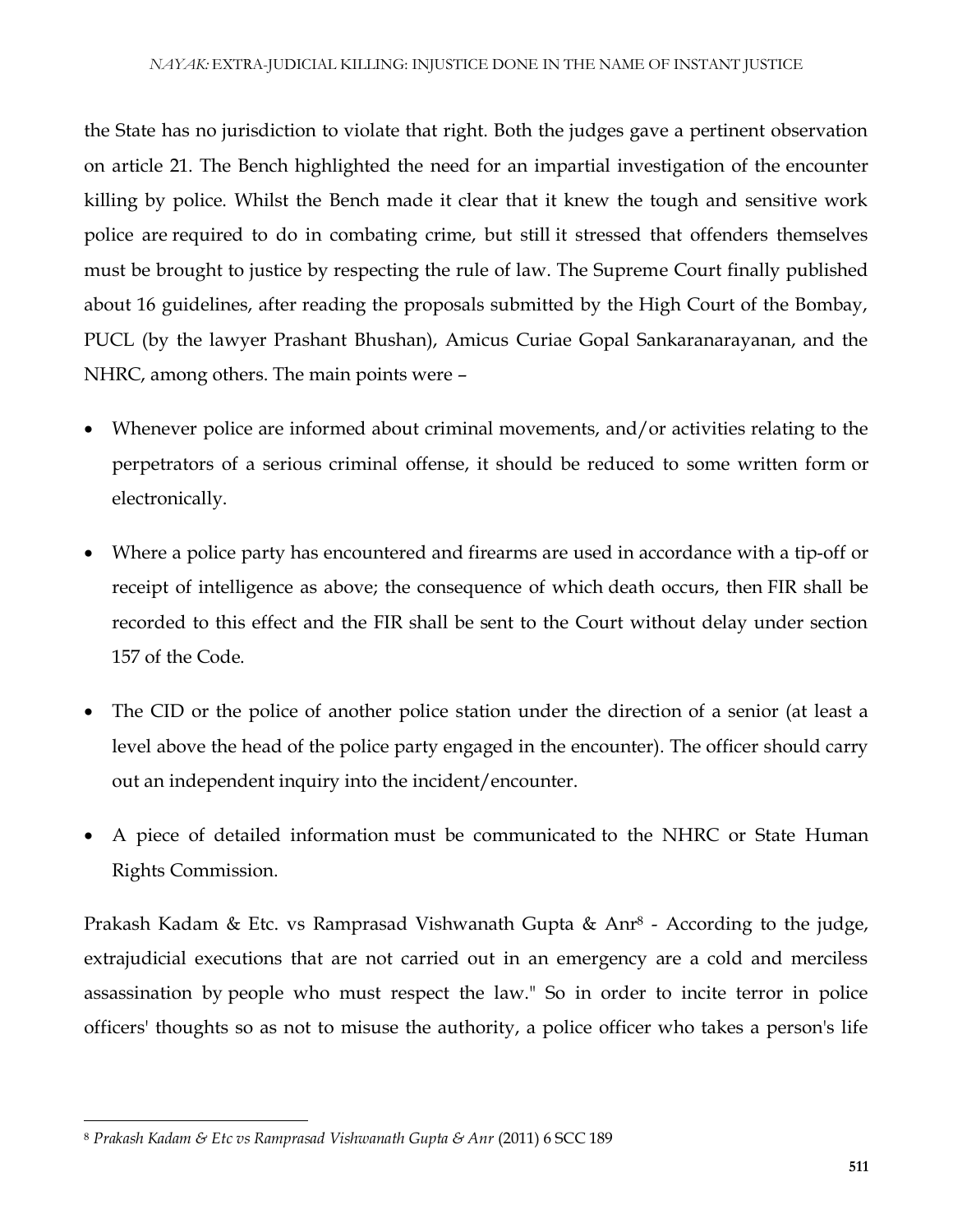the State has no jurisdiction to violate that right. Both the judges gave a pertinent observation on article 21. The Bench highlighted the need for an impartial investigation of the encounter killing by police. Whilst the Bench made it clear that it knew the tough and sensitive work police are required to do in combating crime, but still it stressed that offenders themselves must be brought to justice by respecting the rule of law. The Supreme Court finally published about 16 guidelines, after reading the proposals submitted by the High Court of the Bombay, PUCL (by the lawyer Prashant Bhushan), Amicus Curiae Gopal Sankaranarayanan, and the NHRC, among others. The main points were –

- Whenever police are informed about criminal movements, and/or activities relating to the perpetrators of a serious criminal offense, it should be reduced to some written form or electronically.
- Where a police party has encountered and firearms are used in accordance with a tip-off or receipt of intelligence as above; the consequence of which death occurs, then FIR shall be recorded to this effect and the FIR shall be sent to the Court without delay under section 157 of the Code.
- The CID or the police of another police station under the direction of a senior (at least a level above the head of the police party engaged in the encounter). The officer should carry out an independent inquiry into the incident/encounter.
- A piece of detailed information must be communicated to the NHRC or State Human Rights Commission.

Prakash Kadam & Etc. vs Ramprasad Vishwanath Gupta & Anr<sup>8</sup> - According to the judge, extrajudicial executions that are not carried out in an emergency are a cold and merciless assassination by people who must respect the law." So in order to incite terror in police officers' thoughts so as not to misuse the authority, a police officer who takes a person's life

 $\overline{\phantom{a}}$ 

<sup>8</sup> *Prakash Kadam & Etc vs Ramprasad Vishwanath Gupta & Anr* (2011) 6 SCC 189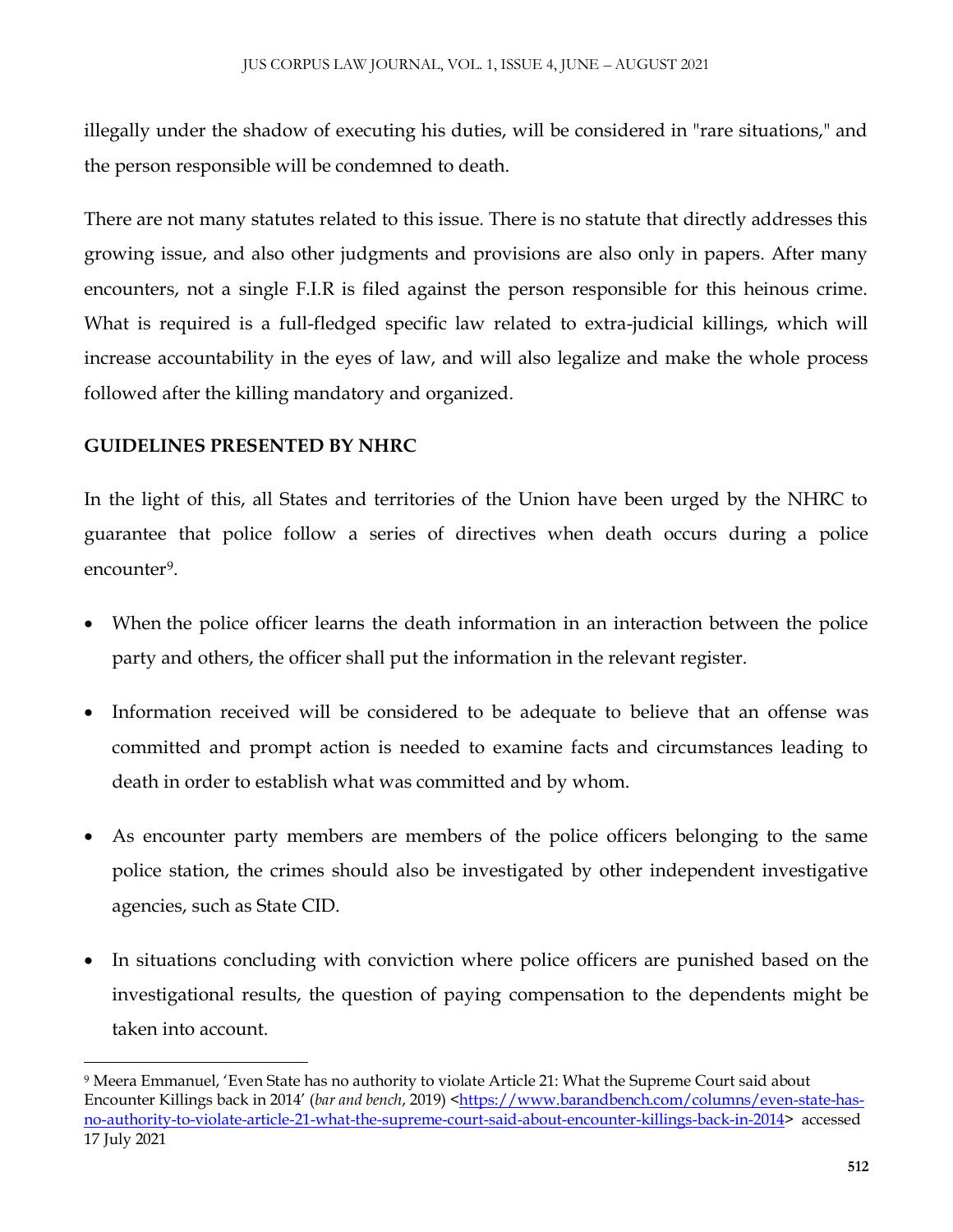illegally under the shadow of executing his duties, will be considered in "rare situations," and the person responsible will be condemned to death.

There are not many statutes related to this issue. There is no statute that directly addresses this growing issue, and also other judgments and provisions are also only in papers. After many encounters, not a single F.I.R is filed against the person responsible for this heinous crime. What is required is a full-fledged specific law related to extra-judicial killings, which will increase accountability in the eyes of law, and will also legalize and make the whole process followed after the killing mandatory and organized.

#### **GUIDELINES PRESENTED BY NHRC**

 $\overline{\phantom{a}}$ 

In the light of this, all States and territories of the Union have been urged by the NHRC to guarantee that police follow a series of directives when death occurs during a police encounter<sup>9</sup>.

- When the police officer learns the death information in an interaction between the police party and others, the officer shall put the information in the relevant register.
- Information received will be considered to be adequate to believe that an offense was committed and prompt action is needed to examine facts and circumstances leading to death in order to establish what was committed and by whom.
- As encounter party members are members of the police officers belonging to the same police station, the crimes should also be investigated by other independent investigative agencies, such as State CID.
- In situations concluding with conviction where police officers are punished based on the investigational results, the question of paying compensation to the dependents might be taken into account.

<sup>9</sup> Meera Emmanuel, 'Even State has no authority to violate Article 21: What the Supreme Court said about Encounter Killings back in 2014' (*bar and bench*, 2019) [<https://www.barandbench.com/columns/even-state-has](https://www.barandbench.com/columns/even-state-has-no-authority-to-violate-article-21-what-the-supreme-court-said-about-encounter-killings-back-in-2014)[no-authority-to-violate-article-21-what-the-supreme-court-said-about-encounter-killings-back-in-2014>](https://www.barandbench.com/columns/even-state-has-no-authority-to-violate-article-21-what-the-supreme-court-said-about-encounter-killings-back-in-2014) accessed 17 July 2021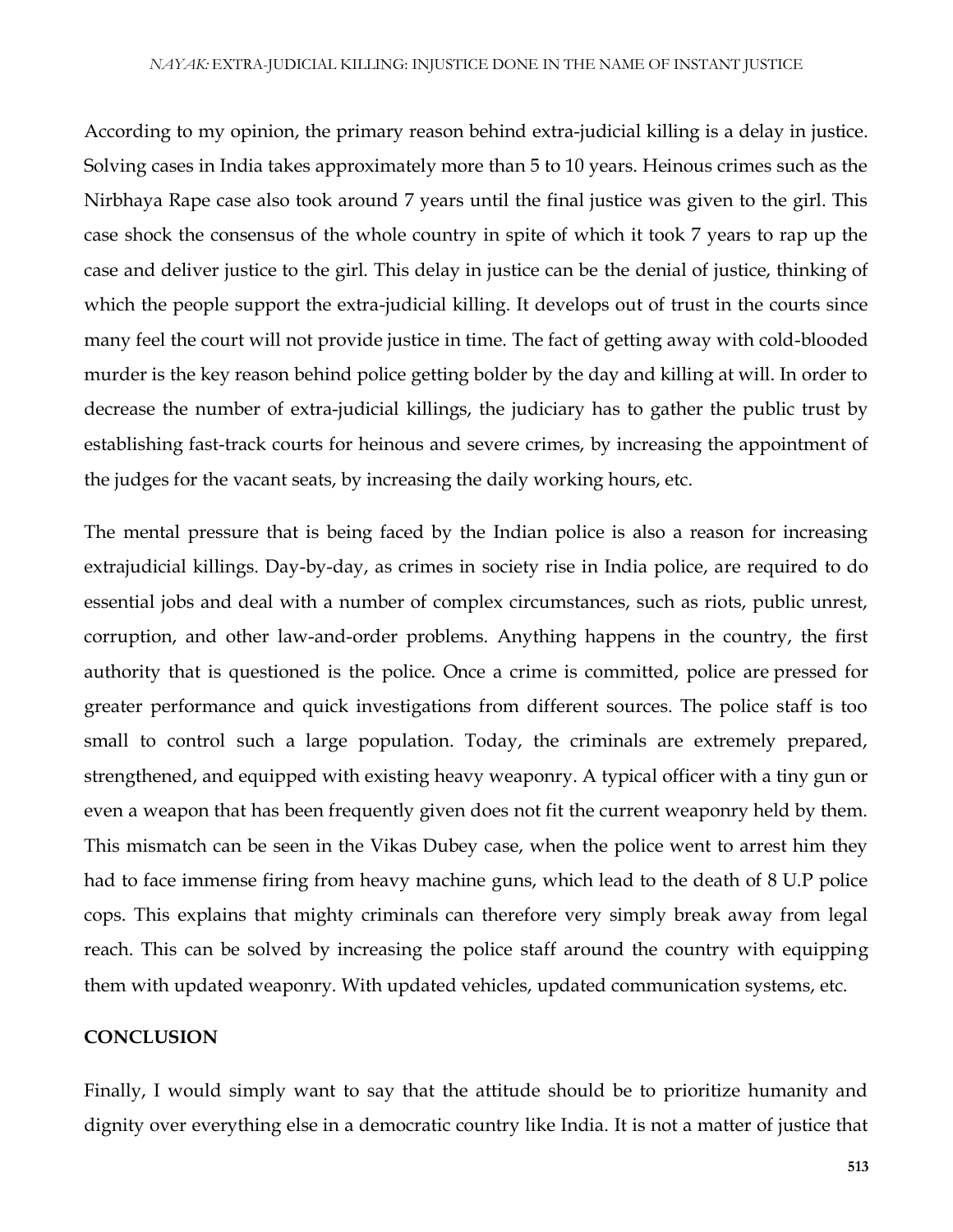According to my opinion, the primary reason behind extra-judicial killing is a delay in justice. Solving cases in India takes approximately more than 5 to 10 years. Heinous crimes such as the Nirbhaya Rape case also took around 7 years until the final justice was given to the girl. This case shock the consensus of the whole country in spite of which it took 7 years to rap up the case and deliver justice to the girl. This delay in justice can be the denial of justice, thinking of which the people support the extra-judicial killing. It develops out of trust in the courts since many feel the court will not provide justice in time. The fact of getting away with cold-blooded murder is the key reason behind police getting bolder by the day and killing at will. In order to decrease the number of extra-judicial killings, the judiciary has to gather the public trust by establishing fast-track courts for heinous and severe crimes, by increasing the appointment of the judges for the vacant seats, by increasing the daily working hours, etc.

The mental pressure that is being faced by the Indian police is also a reason for increasing extrajudicial killings. Day-by-day, as crimes in society rise in India police, are required to do essential jobs and deal with a number of complex circumstances, such as riots, public unrest, corruption, and other law-and-order problems. Anything happens in the country, the first authority that is questioned is the police. Once a crime is committed, police are pressed for greater performance and quick investigations from different sources. The police staff is too small to control such a large population. Today, the criminals are extremely prepared, strengthened, and equipped with existing heavy weaponry. A typical officer with a tiny gun or even a weapon that has been frequently given does not fit the current weaponry held by them. This mismatch can be seen in the Vikas Dubey case, when the police went to arrest him they had to face immense firing from heavy machine guns, which lead to the death of 8 U.P police cops. This explains that mighty criminals can therefore very simply break away from legal reach. This can be solved by increasing the police staff around the country with equipping them with updated weaponry. With updated vehicles, updated communication systems, etc.

#### **CONCLUSION**

Finally, I would simply want to say that the attitude should be to prioritize humanity and dignity over everything else in a democratic country like India. It is not a matter of justice that